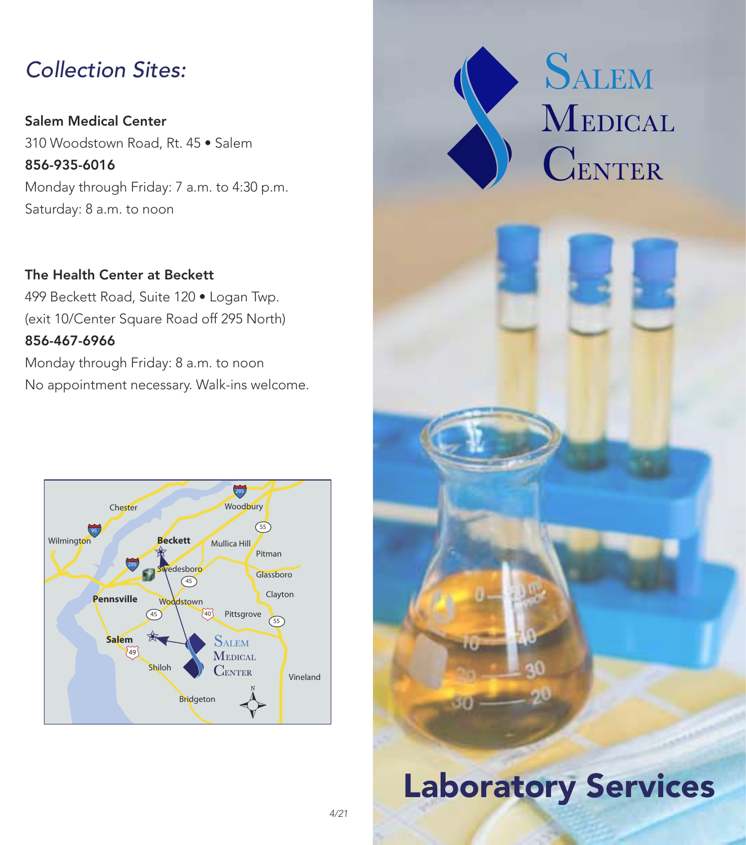## *Collection Sites:*

Salem Medical Center 310 Woodstown Road, Rt. 45 • Salem 856-935-6016 Monday through Friday: 7 a.m. to 4:30 p.m. Saturday: 8 a.m. to noon

The Health Center at Beckett 499 Beckett Road, Suite 120 • Logan Twp. (exit 10/Center Square Road off 295 North) 856-467-6966 Monday through Friday: 8 a.m. to noon

No appointment necessary. Walk-ins welcome.





# Laboratory Services

Gra)